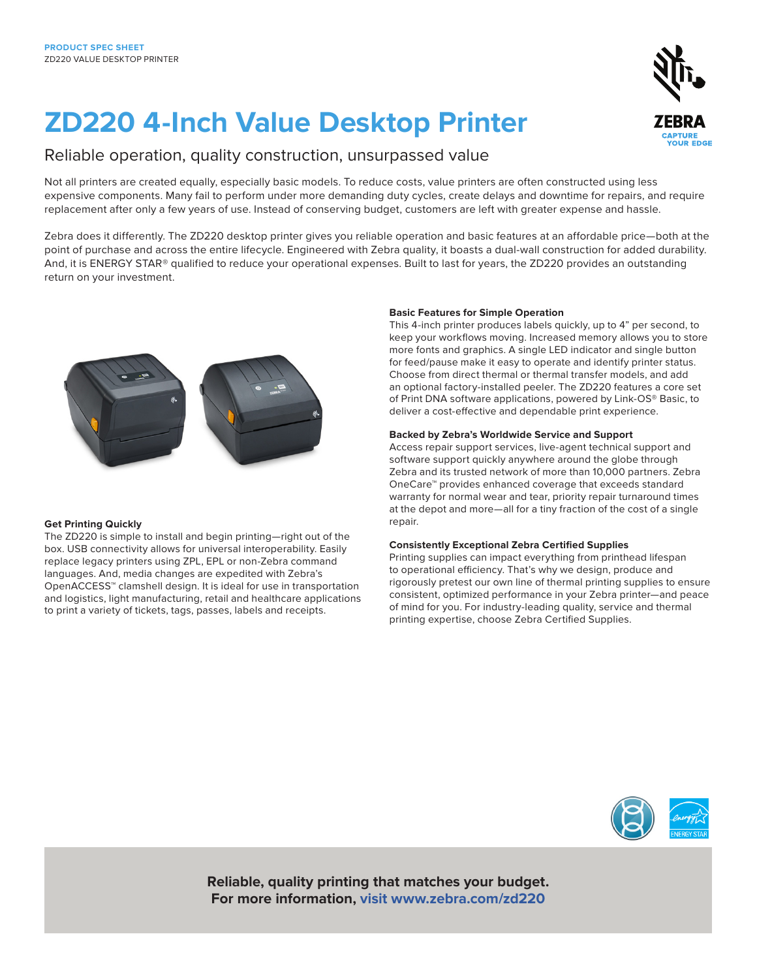# **ZD220 4-Inch Value Desktop Printer**

### Reliable operation, quality construction, unsurpassed value

Not all printers are created equally, especially basic models. To reduce costs, value printers are often constructed using less expensive components. Many fail to perform under more demanding duty cycles, create delays and downtime for repairs, and require replacement after only a few years of use. Instead of conserving budget, customers are left with greater expense and hassle.

Zebra does it differently. The ZD220 desktop printer gives you reliable operation and basic features at an affordable price—both at the point of purchase and across the entire lifecycle. Engineered with Zebra quality, it boasts a dual-wall construction for added durability. And, it is ENERGY STAR® qualified to reduce your operational expenses. Built to last for years, the ZD220 provides an outstanding return on your investment.

#### **Get Printing Quickly**

The ZD220 is simple to install and begin printing—right out of the box. USB connectivity allows for universal interoperability. Easily replace legacy printers using ZPL, EPL or non-Zebra command languages. And, media changes are expedited with Zebra's OpenACCESS™ clamshell design. It is ideal for use in transportation and logistics, light manufacturing, retail and healthcare applications to print a variety of tickets, tags, passes, labels and receipts.

#### **Basic Features for Simple Operation**

This 4-inch printer produces labels quickly, up to 4" per second, to keep your workflows moving. Increased memory allows you to store more fonts and graphics. A single LED indicator and single button for feed/pause make it easy to operate and identify printer status. Choose from direct thermal or thermal transfer models, and add an optional factory-installed peeler. The ZD220 features a core set of Print DNA software applications, powered by Link-OS® Basic, to deliver a cost-effective and dependable print experience.

#### **Backed by Zebra's Worldwide Service and Support**

Access repair support services, live-agent technical support and software support quickly anywhere around the globe through Zebra and its trusted network of more than 10,000 partners. Zebra OneCare™ provides enhanced coverage that exceeds standard warranty for normal wear and tear, priority repair turnaround times at the depot and more—all for a tiny fraction of the cost of a single repair.

#### **Consistently Exceptional Zebra Certified Supplies**

Printing supplies can impact everything from printhead lifespan to operational efficiency. That's why we design, produce and rigorously pretest our own line of thermal printing supplies to ensure consistent, optimized performance in your Zebra printer—and peace of mind for you. For industry-leading quality, service and thermal printing expertise, choose Zebra Certified Supplies.



**Reliable, quality printing that matches your budget. For more information, visit www.zebra.com/zd220**

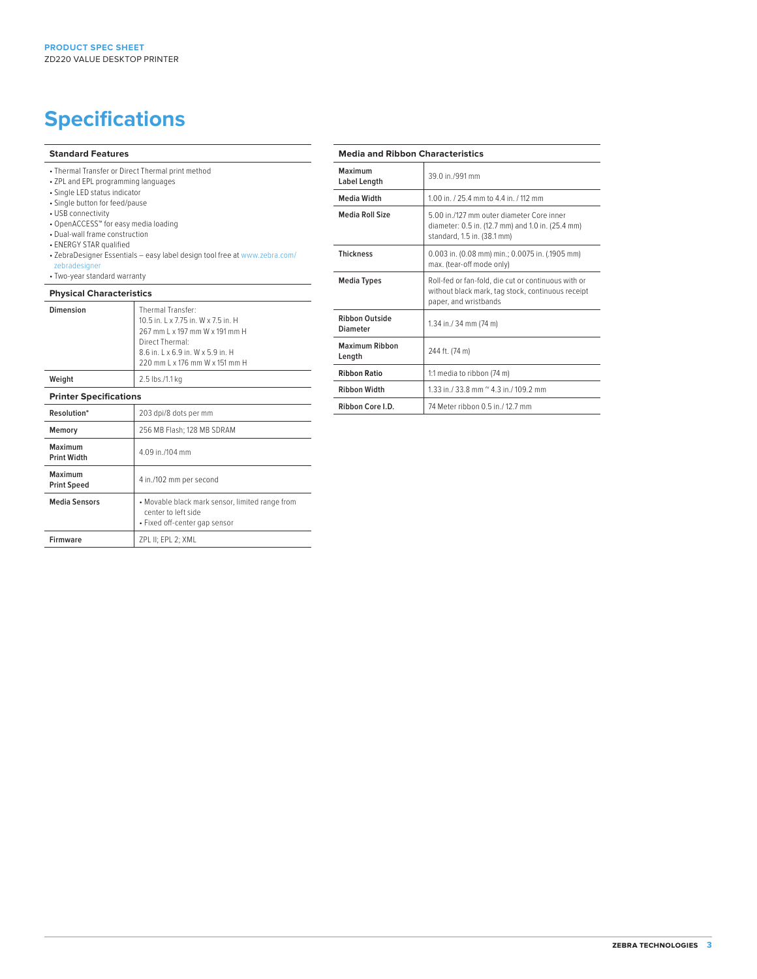## **Specifications**

#### **Standard Features**

- Thermal Transfer or Direct Thermal print method
- ZPL and EPL programming languages
- Single LED status indicator
- Single button for feed/pause • USB connectivity
- 
- OpenACCESS™ for easy media loading
- Dual-wall frame construction
- ENERGY STAR qualified
- ZebraDesigner Essentials easy label design tool free at www.zebra.com/ zebradesigne
- Two-year standard warranty

#### **Physical Characteristics**

| Dimension                     | Thermal Transfer:<br>10.5 in. L x 7.75 in. W x 7.5 in. H<br>267 mm L x 197 mm W x 191 mm H<br>Direct Thermal:<br>8.6 in. L x 6.9 in. W x 5.9 in. H<br>220 mm L x 176 mm W x 151 mm H |
|-------------------------------|--------------------------------------------------------------------------------------------------------------------------------------------------------------------------------------|
| Weight                        | 2.5 lbs./1.1 kg                                                                                                                                                                      |
| <b>Printer Specifications</b> |                                                                                                                                                                                      |
| Resolution*                   | 203 dpi/8 dots per mm                                                                                                                                                                |
| Memory                        | 256 MB Flash; 128 MB SDRAM                                                                                                                                                           |
| Maximum<br><b>Print Width</b> | 4.09 in /104 mm                                                                                                                                                                      |
| Maximum<br><b>Print Speed</b> | 4 in./102 mm per second                                                                                                                                                              |
| <b>Media Sensors</b>          | • Movable black mark sensor, limited range from<br>center to left side<br>• Fixed off-center gap sensor                                                                              |
| <b>Firmware</b>               | ZPL II; EPL 2; XML                                                                                                                                                                   |

#### **Media and Ribbon Characteristics**

| Maximum<br>Label Length           | 39 0 in /991 mm                                                                                                                   |
|-----------------------------------|-----------------------------------------------------------------------------------------------------------------------------------|
| <b>Media Width</b>                | 1.00 in. / 25.4 mm to 4.4 in. / 112 mm                                                                                            |
| Media Roll Size                   | 5.00 in /127 mm outer diameter Core inner<br>diameter: 0.5 in. (12.7 mm) and 1.0 in. (25.4 mm)<br>standard, 1.5 in. (38.1 mm)     |
| <b>Thickness</b>                  | 0.003 in. (0.08 mm) min.; 0.0075 in. (.1905 mm)<br>max. (tear-off mode only)                                                      |
| <b>Media Types</b>                | Roll-fed or fan-fold, die cut or continuous with or<br>without black mark, tag stock, continuous receipt<br>paper, and wristbands |
| Ribbon Outside<br><b>Diameter</b> | 1.34 in./ 34 mm (74 m)                                                                                                            |
| Maximum Ribbon<br>Length          | 244 ft. (74 m)                                                                                                                    |
| <b>Ribbon Ratio</b>               | 1:1 media to ribbon (74 m)                                                                                                        |
| <b>Ribbon Width</b>               | 1.33 in./ 33.8 mm $^{\circ}$ 4.3 in./ 109.2 mm                                                                                    |
| Ribbon Core I.D.                  | 74 Meter ribbon 0.5 in / 12.7 mm                                                                                                  |